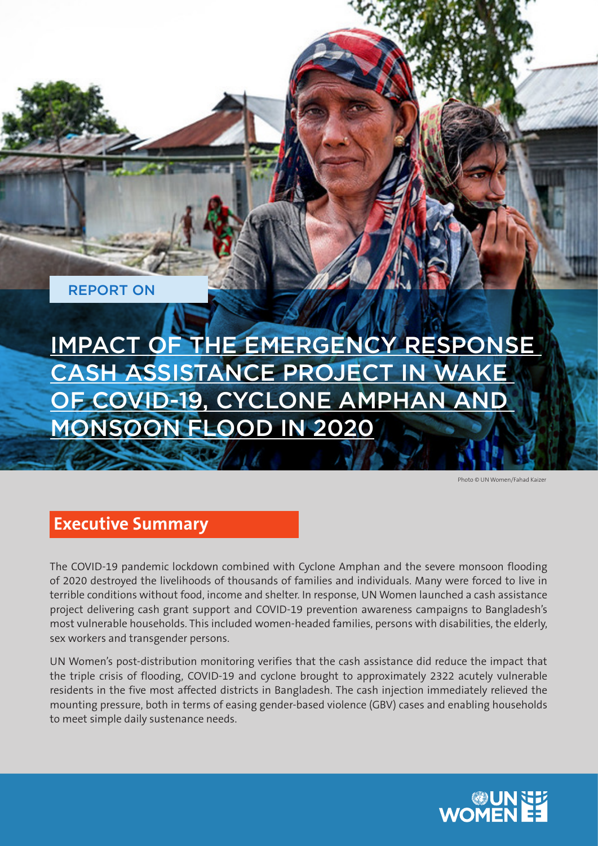REPORT ON

IMPACT OF THE EMERGENCY RESPONSE CASH ASSISTANCE PROJECT IN WAKE OF COVID-19, CYCLONE AMPHAN AND MONSOON FLOOD IN 2020

Photo © UN Women/Fahad Kaizer

## **Executive Summary**

The COVID-19 pandemic lockdown combined with Cyclone Amphan and the severe monsoon flooding of 2020 destroyed the livelihoods of thousands of families and individuals. Many were forced to live in terrible conditions without food, income and shelter. In response, UN Women launched a cash assistance project delivering cash grant support and COVID-19 prevention awareness campaigns to Bangladesh's most vulnerable households. This included women-headed families, persons with disabilities, the elderly, sex workers and transgender persons.

UN Women's post-distribution monitoring verifies that the cash assistance did reduce the impact that the triple crisis of flooding, COVID-19 and cyclone brought to approximately 2322 acutely vulnerable residents in the five most affected districts in Bangladesh. The cash injection immediately relieved the mounting pressure, both in terms of easing gender-based violence (GBV) cases and enabling households to meet simple daily sustenance needs.

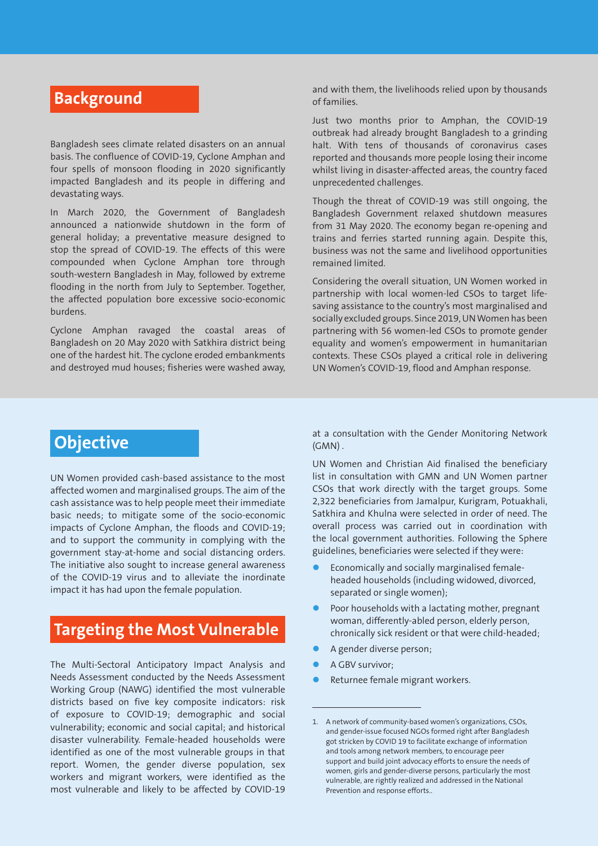## **Background**

Bangladesh sees climate related disasters on an annual basis. The confluence of COVID-19, Cyclone Amphan and four spells of monsoon flooding in 2020 significantly impacted Bangladesh and its people in differing and devastating ways.

In March 2020, the Government of Bangladesh announced a nationwide shutdown in the form of general holiday; a preventative measure designed to stop the spread of COVID-19. The effects of this were compounded when Cyclone Amphan tore through south-western Bangladesh in May, followed by extreme flooding in the north from July to September. Together, the affected population bore excessive socio-economic burdens.

Cyclone Amphan ravaged the coastal areas of Bangladesh on 20 May 2020 with Satkhira district being one of the hardest hit. The cyclone eroded embankments and destroyed mud houses; fisheries were washed away, and with them, the livelihoods relied upon by thousands of families.

Just two months prior to Amphan, the COVID-19 outbreak had already brought Bangladesh to a grinding halt. With tens of thousands of coronavirus cases reported and thousands more people losing their income whilst living in disaster-affected areas, the country faced unprecedented challenges.

Though the threat of COVID-19 was still ongoing, the Bangladesh Government relaxed shutdown measures from 31 May 2020. The economy began re-opening and trains and ferries started running again. Despite this, business was not the same and livelihood opportunities remained limited.

Considering the overall situation, UN Women worked in partnership with local women-led CSOs to target lifesaving assistance to the country's most marginalised and socially excluded groups. Since 2019, UN Women has been partnering with 56 women-led CSOs to promote gender equality and women's empowerment in humanitarian contexts. These CSOs played a critical role in delivering UN Women's COVID-19, flood and Amphan response.

# **Objective**

UN Women provided cash-based assistance to the most affected women and marginalised groups. The aim of the cash assistance was to help people meet their immediate basic needs; to mitigate some of the socio-economic impacts of Cyclone Amphan, the floods and COVID-19; and to support the community in complying with the government stay-at-home and social distancing orders. The initiative also sought to increase general awareness of the COVID-19 virus and to alleviate the inordinate impact it has had upon the female population.

## **Targeting the Most Vulnerable**

The Multi-Sectoral Anticipatory Impact Analysis and Needs Assessment conducted by the Needs Assessment Working Group (NAWG) identified the most vulnerable districts based on five key composite indicators: risk of exposure to COVID-19; demographic and social vulnerability; economic and social capital; and historical disaster vulnerability. Female-headed households were identified as one of the most vulnerable groups in that report. Women, the gender diverse population, sex workers and migrant workers, were identified as the most vulnerable and likely to be affected by COVID-19

at a consultation with the Gender Monitoring Network (GMN) .

UN Women and Christian Aid finalised the beneficiary list in consultation with GMN and UN Women partner CSOs that work directly with the target groups. Some 2,322 beneficiaries from Jamalpur, Kurigram, Potuakhali, Satkhira and Khulna were selected in order of need. The overall process was carried out in coordination with the local government authorities. Following the Sphere guidelines, beneficiaries were selected if they were:

- Economically and socially marginalised femaleheaded households (including widowed, divorced, separated or single women);
- Poor households with a lactating mother, pregnant woman, differently-abled person, elderly person, chronically sick resident or that were child-headed;
- A gender diverse person;
- A GBV survivor;
- Returnee female migrant workers.

<sup>1.</sup> A network of community-based women's organizations, CSOs, and gender-issue focused NGOs formed right after Bangladesh got stricken by COVID 19 to facilitate exchange of information and tools among network members, to encourage peer support and build joint advocacy efforts to ensure the needs of women, girls and gender-diverse persons, particularly the most vulnerable, are rightly realized and addressed in the National Prevention and response efforts..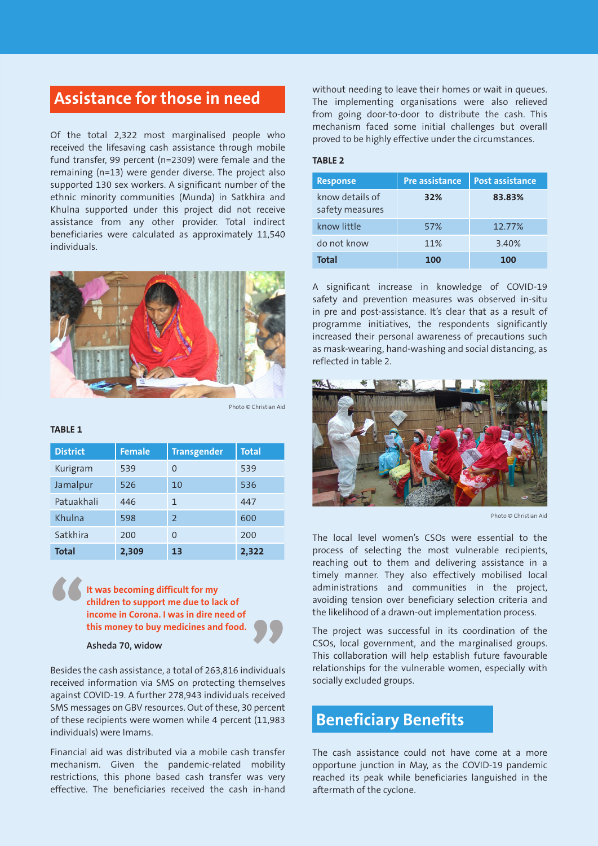### **Assistance for those in need**

Of the total 2,322 most marginalised people who received the lifesaving cash assistance through mobile fund transfer, 99 percent (n=2309) were female and the remaining (n=13) were gender diverse. The project also supported 130 sex workers. A significant number of the ethnic minority communities (Munda) in Satkhira and Khulna supported under this project did not receive assistance from any other provider. Total indirect beneficiaries were calculated as approximately 11,540 individuals.



Photo © Christian Aid

#### **TABLE 1**

| <b>District</b> | <b>Female</b> | <b>Transgender</b> | <b>Total</b> |
|-----------------|---------------|--------------------|--------------|
| Kurigram        | 539           | $\Omega$           | 539          |
| Jamalpur        | 526           | 10                 | 536          |
| Patuakhali      | 446           | 1                  | 447          |
| Khulna          | 598           | $\mathcal{P}$      | 600          |
| Satkhira        | 200           | $\Omega$           | 200          |
| <b>Total</b>    | 2,309         | 13                 | 2,322        |

**It was becoming difficult for my children to support me due to lack of income in Corona. I was in dire need of this money to buy medicines and food.** " "

#### **Asheda 70, widow**

Besides the cash assistance, a total of 263,816 individuals received information via SMS on protecting themselves against COVID-19. A further 278,943 individuals received SMS messages on GBV resources. Out of these, 30 percent of these recipients were women while 4 percent (11,983 individuals) were Imams.

Financial aid was distributed via a mobile cash transfer mechanism. Given the pandemic-related mobility restrictions, this phone based cash transfer was very effective. The beneficiaries received the cash in-hand

without needing to leave their homes or wait in queues. The implementing organisations were also relieved from going door-to-door to distribute the cash. This mechanism faced some initial challenges but overall proved to be highly effective under the circumstances.

#### **TABLE 2**

| <b>Response</b>                    | <b>Pre assistance</b> | <b>Post assistance</b> |
|------------------------------------|-----------------------|------------------------|
| know details of<br>safety measures | 32%                   | 83.83%                 |
| know little                        | 57%                   | 12.77%                 |
| do not know                        | 11%                   | 3.40%                  |
| <b>Total</b>                       | 100                   | 100                    |

A significant increase in knowledge of COVID-19 safety and prevention measures was observed in-situ in pre and post-assistance. It's clear that as a result of programme initiatives, the respondents significantly increased their personal awareness of precautions such as mask-wearing, hand-washing and social distancing, as reflected in table 2.



Photo © Christian Aid

The local level women's CSOs were essential to the process of selecting the most vulnerable recipients, reaching out to them and delivering assistance in a timely manner. They also effectively mobilised local administrations and communities in the project, avoiding tension over beneficiary selection criteria and the likelihood of a drawn-out implementation process.

The project was successful in its coordination of the CSOs, local government, and the marginalised groups. This collaboration will help establish future favourable relationships for the vulnerable women, especially with socially excluded groups.

### **Beneficiary Benefits**

The cash assistance could not have come at a more opportune junction in May, as the COVID-19 pandemic reached its peak while beneficiaries languished in the aftermath of the cyclone.